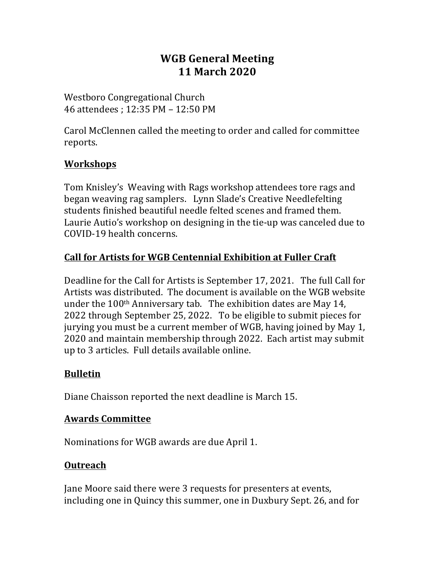# **WGB General Meeting 11 March 2020**

Westboro Congregational Church 46 attendees ; 12:35 PM – 12:50 PM

Carol McClennen called the meeting to order and called for committee reports. 

## **Workshops**

Tom Knisley's Weaving with Rags workshop attendees tore rags and began weaving rag samplers. Lynn Slade's Creative Needlefelting students finished beautiful needle felted scenes and framed them. Laurie Autio's workshop on designing in the tie-up was canceled due to COVID-19 health concerns.

# **Call for Artists for WGB Centennial Exhibition at Fuller Craft**

Deadline for the Call for Artists is September 17, 2021. The full Call for Artists was distributed. The document is available on the WGB website under the  $100<sup>th</sup>$  Anniversary tab. The exhibition dates are May 14, 2022 through September 25, 2022. To be eligible to submit pieces for jurying you must be a current member of WGB, having joined by May 1, 2020 and maintain membership through 2022. Each artist may submit up to 3 articles. Full details available online.

## **Bulletin**

Diane Chaisson reported the next deadline is March 15.

#### **Awards Committee**

Nominations for WGB awards are due April 1.

## **Outreach**

Jane Moore said there were 3 requests for presenters at events, including one in Quincy this summer, one in Duxbury Sept. 26, and for